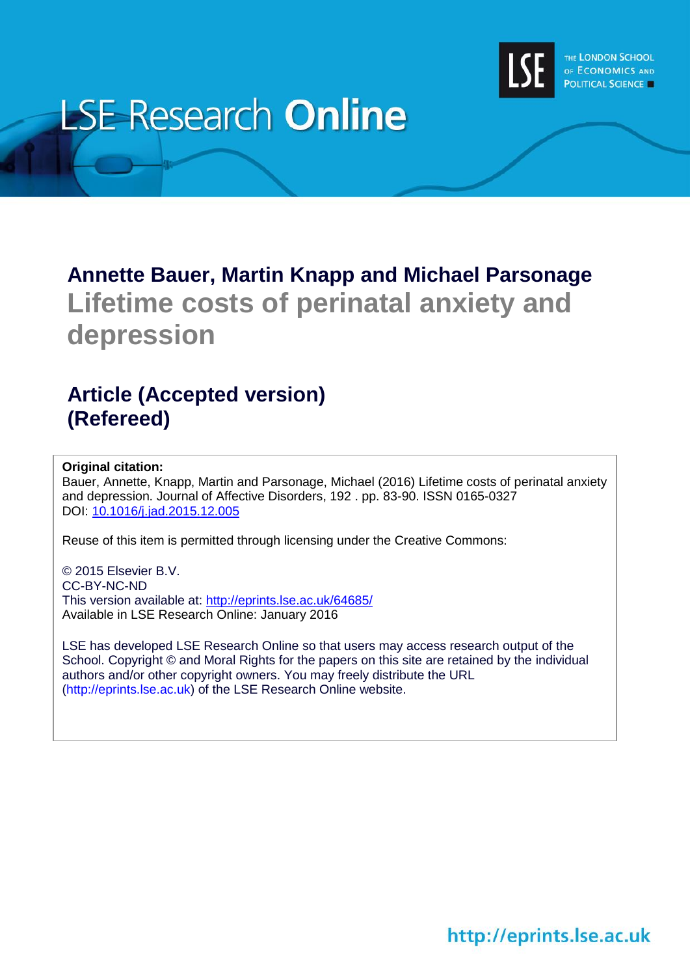

# **LSE Research Online**

# **Annette Bauer, Martin Knapp and Michael Parsonage Lifetime costs of perinatal anxiety and depression**

# **Article (Accepted version) (Refereed)**

#### **Original citation:**

Bauer, Annette, Knapp, Martin and Parsonage, Michael (2016) Lifetime costs of perinatal anxiety and depression. Journal of Affective Disorders, 192 . pp. 83-90. ISSN 0165-0327 DOI: [10.1016/j.jad.2015.12.005](http://dx.doi.org/10.1016/j.jad.2015.12.005)

Reuse of this item is permitted through licensing under the Creative Commons:

© 2015 Elsevier B.V. CC-BY-NC-ND This version available at:<http://eprints.lse.ac.uk/64685/> Available in LSE Research Online: January 2016

LSE has developed LSE Research Online so that users may access research output of the School. Copyright © and Moral Rights for the papers on this site are retained by the individual authors and/or other copyright owners. You may freely distribute the URL (http://eprints.lse.ac.uk) of the LSE Research Online website.

http://eprints.lse.ac.uk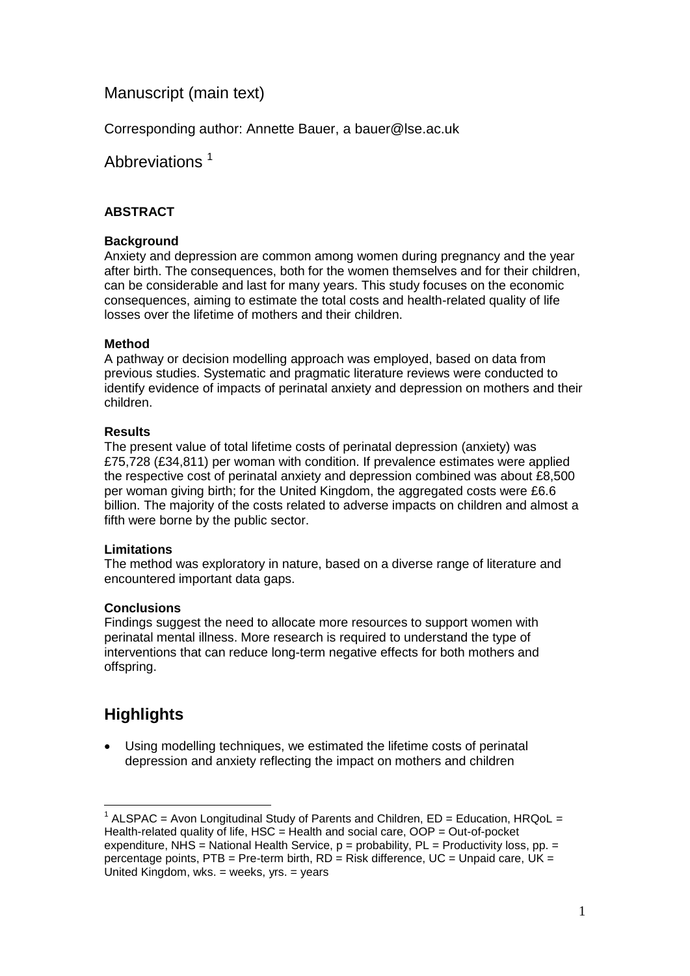## Manuscript (main text)

Corresponding author: Annette Bauer, a [bauer@lse.ac.uk](mailto:bauer@lse.ac.uk)

Abbreviations<sup>1</sup>

#### **ABSTRACT**

#### **Background**

Anxiety and depression are common among women during pregnancy and the year after birth. The consequences, both for the women themselves and for their children, can be considerable and last for many years. This study focuses on the economic consequences, aiming to estimate the total costs and health-related quality of life losses over the lifetime of mothers and their children.

#### **Method**

A pathway or decision modelling approach was employed, based on data from previous studies. Systematic and pragmatic literature reviews were conducted to identify evidence of impacts of perinatal anxiety and depression on mothers and their children.

#### **Results**

The present value of total lifetime costs of perinatal depression (anxiety) was £75,728 (£34,811) per woman with condition. If prevalence estimates were applied the respective cost of perinatal anxiety and depression combined was about £8,500 per woman giving birth; for the United Kingdom, the aggregated costs were £6.6 billion. The majority of the costs related to adverse impacts on children and almost a fifth were borne by the public sector.

#### **Limitations**

The method was exploratory in nature, based on a diverse range of literature and encountered important data gaps.

#### **Conclusions**

Findings suggest the need to allocate more resources to support women with perinatal mental illness. More research is required to understand the type of interventions that can reduce long-term negative effects for both mothers and offspring.

## **Highlights**

 Using modelling techniques, we estimated the lifetime costs of perinatal depression and anxiety reflecting the impact on mothers and children

<sup>1</sup> <sup>1</sup> ALSPAC = Avon Longitudinal Study of Parents and Children,  $ED = Education, HRQol =$ Health-related quality of life,  $HSC = Health$  and social care,  $OOP = Out-of-oocket$ expenditure, NHS = National Health Service,  $p =$  probability,  $PL =$  Productivity loss,  $pp =$ percentage points, PTB = Pre-term birth,  $RD =$  Risk difference,  $UC =$  Unpaid care, UK = United Kingdom, wks. = weeks, yrs. = years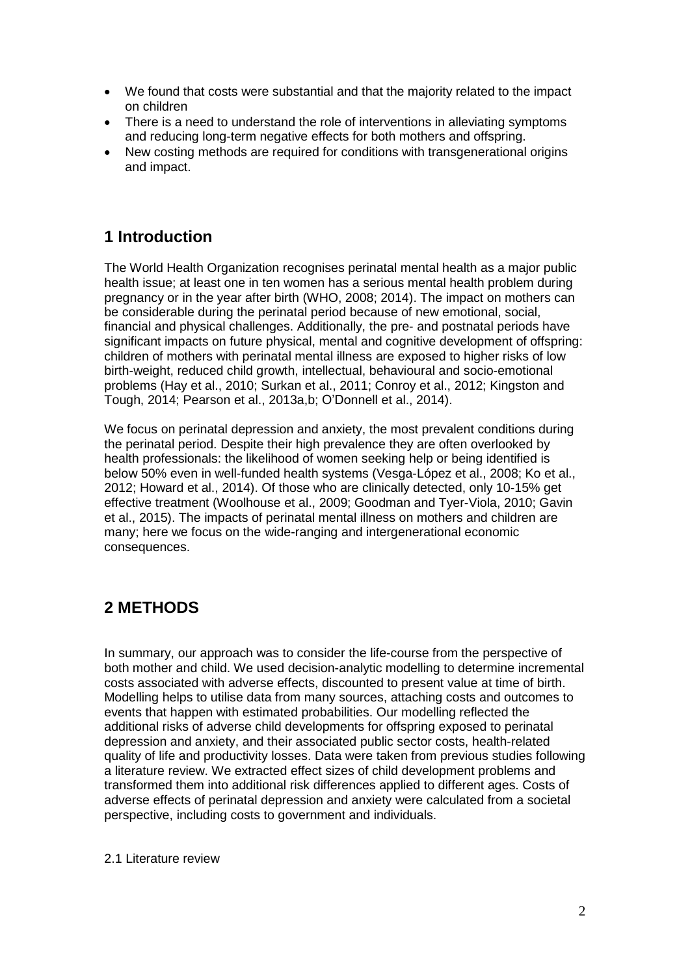- We found that costs were substantial and that the majority related to the impact on children
- There is a need to understand the role of interventions in alleviating symptoms and reducing long-term negative effects for both mothers and offspring.
- New costing methods are required for conditions with transgenerational origins and impact.

# **1 Introduction**

The World Health Organization recognises perinatal mental health as a major public health issue; at least one in ten women has a serious mental health problem during pregnancy or in the year after birth (WHO, 2008; 2014). The impact on mothers can be considerable during the perinatal period because of new emotional, social, financial and physical challenges. Additionally, the pre- and postnatal periods have significant impacts on future physical, mental and cognitive development of offspring: children of mothers with perinatal mental illness are exposed to higher risks of low birth-weight, reduced child growth, intellectual, behavioural and socio-emotional problems (Hay et al., 2010; Surkan et al., 2011; Conroy et al., 2012; Kingston and Tough, 2014; Pearson et al., 2013a,b; O'Donnell et al., 2014).

We focus on perinatal depression and anxiety, the most prevalent conditions during the perinatal period. Despite their high prevalence they are often overlooked by health professionals: the likelihood of women seeking help or being identified is below 50% even in well-funded health systems (Vesga-López et al., 2008; Ko et al., 2012; Howard et al., 2014). Of those who are clinically detected, only 10-15% get effective treatment (Woolhouse et al., 2009; Goodman and Tyer-Viola, 2010; Gavin et al., 2015). The impacts of perinatal mental illness on mothers and children are many; here we focus on the wide-ranging and intergenerational economic consequences.

# **2 METHODS**

In summary, our approach was to consider the life-course from the perspective of both mother and child. We used decision-analytic modelling to determine incremental costs associated with adverse effects, discounted to present value at time of birth. Modelling helps to utilise data from many sources, attaching costs and outcomes to events that happen with estimated probabilities. Our modelling reflected the additional risks of adverse child developments for offspring exposed to perinatal depression and anxiety, and their associated public sector costs, health-related quality of life and productivity losses. Data were taken from previous studies following a literature review. We extracted effect sizes of child development problems and transformed them into additional risk differences applied to different ages. Costs of adverse effects of perinatal depression and anxiety were calculated from a societal perspective, including costs to government and individuals.

2.1 Literature review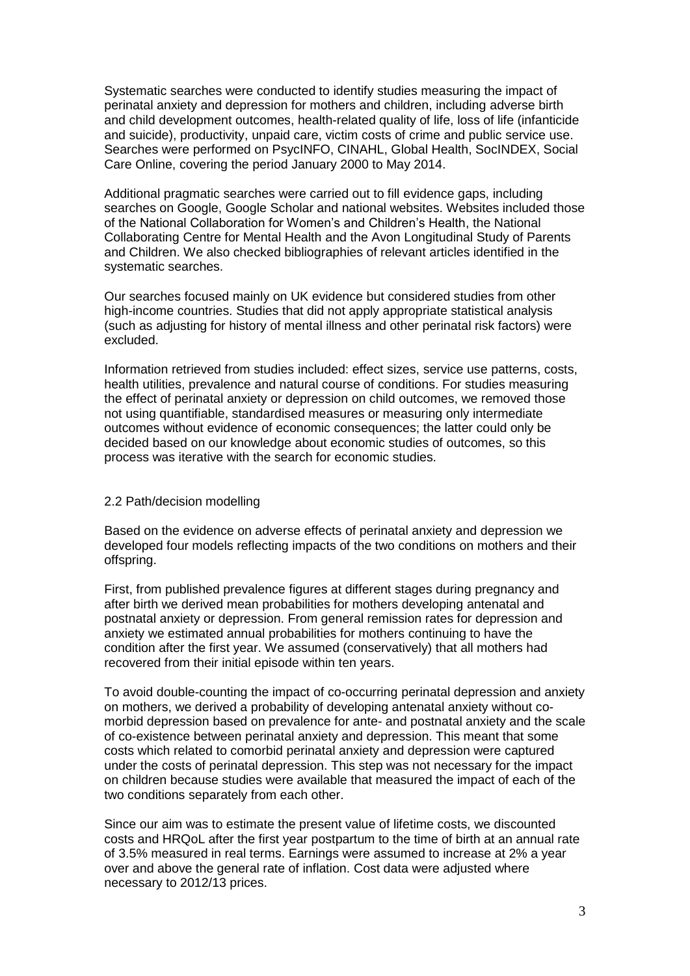Systematic searches were conducted to identify studies measuring the impact of perinatal anxiety and depression for mothers and children, including adverse birth and child development outcomes, health-related quality of life, loss of life (infanticide and suicide), productivity, unpaid care, victim costs of crime and public service use. Searches were performed on PsycINFO, CINAHL, Global Health, SocINDEX, Social Care Online, covering the period January 2000 to May 2014.

Additional pragmatic searches were carried out to fill evidence gaps, including searches on Google, Google Scholar and national websites. Websites included those of the National Collaboration for Women's and Children's Health, the National Collaborating Centre for Mental Health and the Avon Longitudinal Study of Parents and Children. We also checked bibliographies of relevant articles identified in the systematic searches.

Our searches focused mainly on UK evidence but considered studies from other high-income countries. Studies that did not apply appropriate statistical analysis (such as adjusting for history of mental illness and other perinatal risk factors) were excluded.

Information retrieved from studies included: effect sizes, service use patterns, costs, health utilities, prevalence and natural course of conditions. For studies measuring the effect of perinatal anxiety or depression on child outcomes, we removed those not using quantifiable, standardised measures or measuring only intermediate outcomes without evidence of economic consequences; the latter could only be decided based on our knowledge about economic studies of outcomes, so this process was iterative with the search for economic studies.

#### 2.2 Path/decision modelling

Based on the evidence on adverse effects of perinatal anxiety and depression we developed four models reflecting impacts of the two conditions on mothers and their offspring.

First, from published prevalence figures at different stages during pregnancy and after birth we derived mean probabilities for mothers developing antenatal and postnatal anxiety or depression. From general remission rates for depression and anxiety we estimated annual probabilities for mothers continuing to have the condition after the first year. We assumed (conservatively) that all mothers had recovered from their initial episode within ten years.

To avoid double-counting the impact of co-occurring perinatal depression and anxiety on mothers, we derived a probability of developing antenatal anxiety without comorbid depression based on prevalence for ante- and postnatal anxiety and the scale of co-existence between perinatal anxiety and depression. This meant that some costs which related to comorbid perinatal anxiety and depression were captured under the costs of perinatal depression. This step was not necessary for the impact on children because studies were available that measured the impact of each of the two conditions separately from each other.

Since our aim was to estimate the present value of lifetime costs, we discounted costs and HRQoL after the first year postpartum to the time of birth at an annual rate of 3.5% measured in real terms. Earnings were assumed to increase at 2% a year over and above the general rate of inflation. Cost data were adjusted where necessary to 2012/13 prices.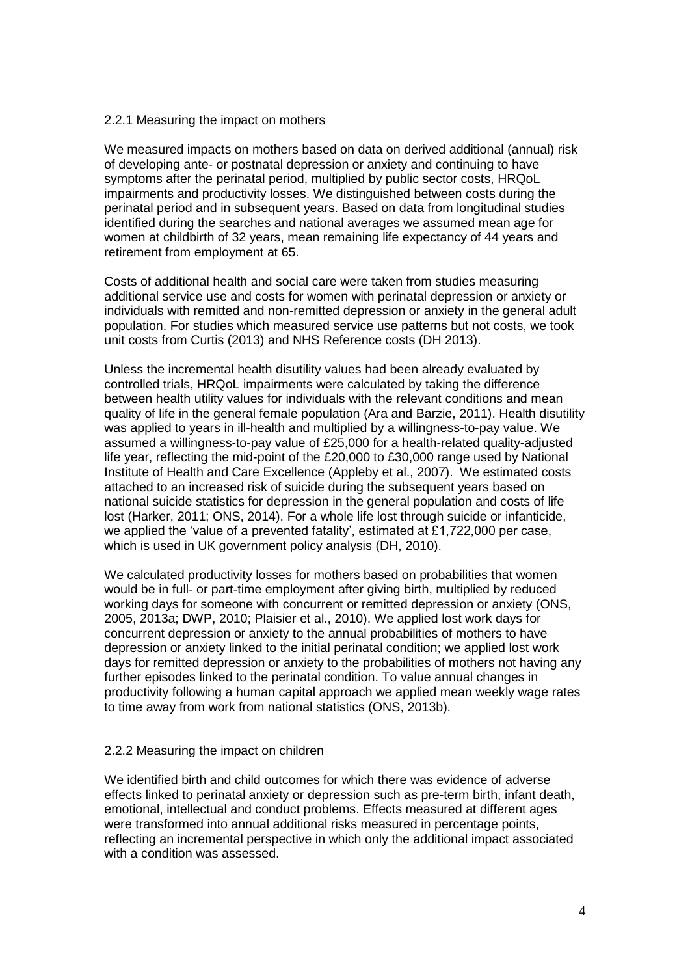#### 2.2.1 Measuring the impact on mothers

We measured impacts on mothers based on data on derived additional (annual) risk of developing ante- or postnatal depression or anxiety and continuing to have symptoms after the perinatal period, multiplied by public sector costs, HRQoL impairments and productivity losses. We distinguished between costs during the perinatal period and in subsequent years. Based on data from longitudinal studies identified during the searches and national averages we assumed mean age for women at childbirth of 32 years, mean remaining life expectancy of 44 years and retirement from employment at 65.

Costs of additional health and social care were taken from studies measuring additional service use and costs for women with perinatal depression or anxiety or individuals with remitted and non-remitted depression or anxiety in the general adult population. For studies which measured service use patterns but not costs, we took unit costs from Curtis (2013) and NHS Reference costs (DH 2013).

Unless the incremental health disutility values had been already evaluated by controlled trials, HRQoL impairments were calculated by taking the difference between health utility values for individuals with the relevant conditions and mean quality of life in the general female population (Ara and Barzie, 2011). Health disutility was applied to years in ill-health and multiplied by a willingness-to-pay value. We assumed a willingness-to-pay value of £25,000 for a health-related quality-adjusted life year, reflecting the mid-point of the £20,000 to £30,000 range used by National Institute of Health and Care Excellence (Appleby et al., 2007). We estimated costs attached to an increased risk of suicide during the subsequent years based on national suicide statistics for depression in the general population and costs of life lost (Harker, 2011; ONS, 2014). For a whole life lost through suicide or infanticide, we applied the 'value of a prevented fatality', estimated at £1,722,000 per case, which is used in UK government policy analysis (DH, 2010).

We calculated productivity losses for mothers based on probabilities that women would be in full- or part-time employment after giving birth, multiplied by reduced working days for someone with concurrent or remitted depression or anxiety (ONS, 2005, 2013a; DWP, 2010; Plaisier et al., 2010). We applied lost work days for concurrent depression or anxiety to the annual probabilities of mothers to have depression or anxiety linked to the initial perinatal condition; we applied lost work days for remitted depression or anxiety to the probabilities of mothers not having any further episodes linked to the perinatal condition. To value annual changes in productivity following a human capital approach we applied mean weekly wage rates to time away from work from national statistics (ONS, 2013b).

#### 2.2.2 Measuring the impact on children

We identified birth and child outcomes for which there was evidence of adverse effects linked to perinatal anxiety or depression such as pre-term birth, infant death, emotional, intellectual and conduct problems. Effects measured at different ages were transformed into annual additional risks measured in percentage points, reflecting an incremental perspective in which only the additional impact associated with a condition was assessed.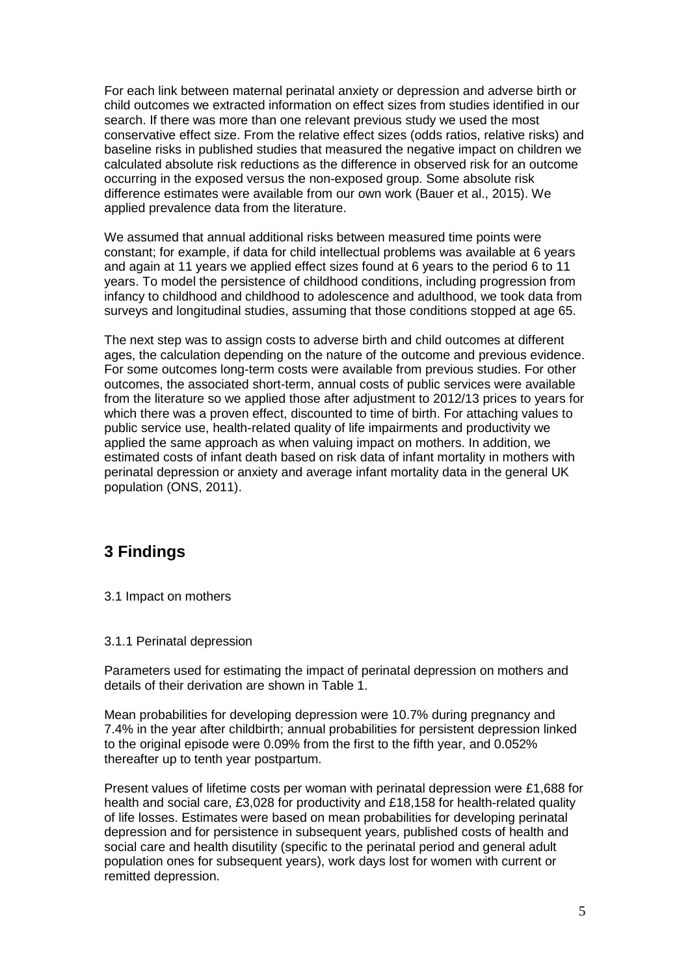For each link between maternal perinatal anxiety or depression and adverse birth or child outcomes we extracted information on effect sizes from studies identified in our search. If there was more than one relevant previous study we used the most conservative effect size. From the relative effect sizes (odds ratios, relative risks) and baseline risks in published studies that measured the negative impact on children we calculated absolute risk reductions as the difference in observed risk for an outcome occurring in the exposed versus the non-exposed group. Some absolute risk difference estimates were available from our own work (Bauer et al., 2015). We applied prevalence data from the literature.

We assumed that annual additional risks between measured time points were constant; for example, if data for child intellectual problems was available at 6 years and again at 11 years we applied effect sizes found at 6 years to the period 6 to 11 years. To model the persistence of childhood conditions, including progression from infancy to childhood and childhood to adolescence and adulthood, we took data from surveys and longitudinal studies, assuming that those conditions stopped at age 65.

The next step was to assign costs to adverse birth and child outcomes at different ages, the calculation depending on the nature of the outcome and previous evidence. For some outcomes long-term costs were available from previous studies. For other outcomes, the associated short-term, annual costs of public services were available from the literature so we applied those after adjustment to 2012/13 prices to years for which there was a proven effect, discounted to time of birth. For attaching values to public service use, health-related quality of life impairments and productivity we applied the same approach as when valuing impact on mothers. In addition, we estimated costs of infant death based on risk data of infant mortality in mothers with perinatal depression or anxiety and average infant mortality data in the general UK population (ONS, 2011).

# **3 Findings**

3.1 Impact on mothers

#### 3.1.1 Perinatal depression

Parameters used for estimating the impact of perinatal depression on mothers and details of their derivation are shown in Table 1.

Mean probabilities for developing depression were 10.7% during pregnancy and 7.4% in the year after childbirth; annual probabilities for persistent depression linked to the original episode were 0.09% from the first to the fifth year, and 0.052% thereafter up to tenth year postpartum.

Present values of lifetime costs per woman with perinatal depression were £1,688 for health and social care, £3,028 for productivity and £18,158 for health-related quality of life losses. Estimates were based on mean probabilities for developing perinatal depression and for persistence in subsequent years, published costs of health and social care and health disutility (specific to the perinatal period and general adult population ones for subsequent years), work days lost for women with current or remitted depression.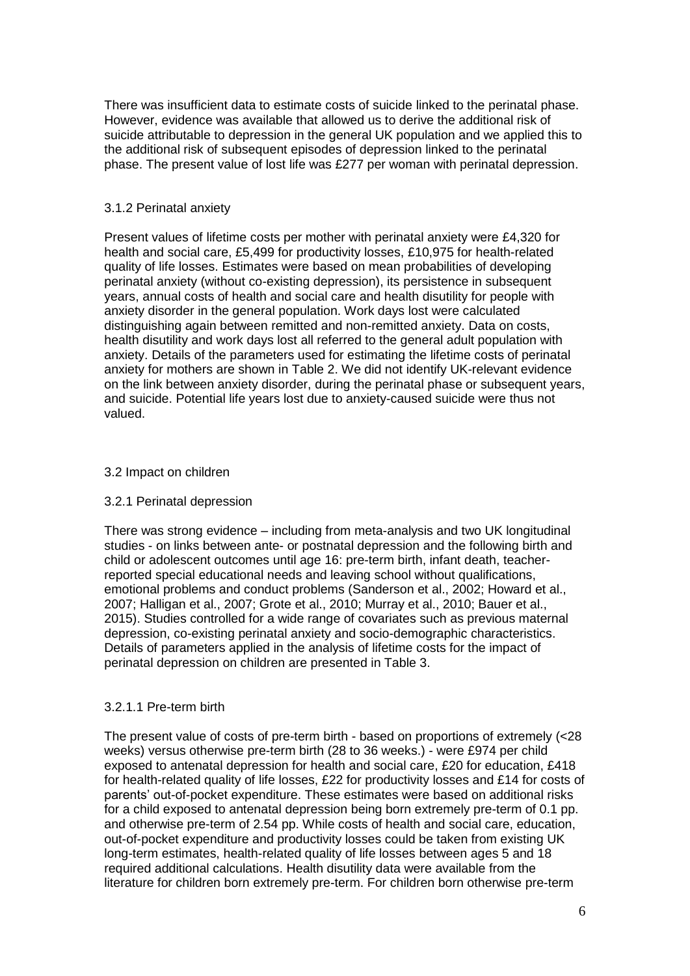There was insufficient data to estimate costs of suicide linked to the perinatal phase. However, evidence was available that allowed us to derive the additional risk of suicide attributable to depression in the general UK population and we applied this to the additional risk of subsequent episodes of depression linked to the perinatal phase. The present value of lost life was £277 per woman with perinatal depression.

#### 3.1.2 Perinatal anxiety

Present values of lifetime costs per mother with perinatal anxiety were £4,320 for health and social care, £5,499 for productivity losses, £10,975 for health-related quality of life losses. Estimates were based on mean probabilities of developing perinatal anxiety (without co-existing depression), its persistence in subsequent years, annual costs of health and social care and health disutility for people with anxiety disorder in the general population. Work days lost were calculated distinguishing again between remitted and non-remitted anxiety. Data on costs, health disutility and work days lost all referred to the general adult population with anxiety. Details of the parameters used for estimating the lifetime costs of perinatal anxiety for mothers are shown in Table 2. We did not identify UK-relevant evidence on the link between anxiety disorder, during the perinatal phase or subsequent years, and suicide. Potential life years lost due to anxiety-caused suicide were thus not valued.

#### 3.2 Impact on children

#### 3.2.1 Perinatal depression

There was strong evidence – including from meta-analysis and two UK longitudinal studies - on links between ante- or postnatal depression and the following birth and child or adolescent outcomes until age 16: pre-term birth, infant death, teacherreported special educational needs and leaving school without qualifications, emotional problems and conduct problems (Sanderson et al., 2002; Howard et al., 2007; Halligan et al., 2007; Grote et al., 2010; Murray et al., 2010; Bauer et al., 2015). Studies controlled for a wide range of covariates such as previous maternal depression, co-existing perinatal anxiety and socio-demographic characteristics. Details of parameters applied in the analysis of lifetime costs for the impact of perinatal depression on children are presented in Table 3.

#### 3.2.1.1 Pre-term birth

The present value of costs of pre-term birth - based on proportions of extremely (<28 weeks) versus otherwise pre-term birth (28 to 36 weeks.) - were £974 per child exposed to antenatal depression for health and social care, £20 for education, £418 for health-related quality of life losses, £22 for productivity losses and £14 for costs of parents' out-of-pocket expenditure. These estimates were based on additional risks for a child exposed to antenatal depression being born extremely pre-term of 0.1 pp. and otherwise pre-term of 2.54 pp. While costs of health and social care, education, out-of-pocket expenditure and productivity losses could be taken from existing UK long-term estimates, health-related quality of life losses between ages 5 and 18 required additional calculations. Health disutility data were available from the literature for children born extremely pre-term. For children born otherwise pre-term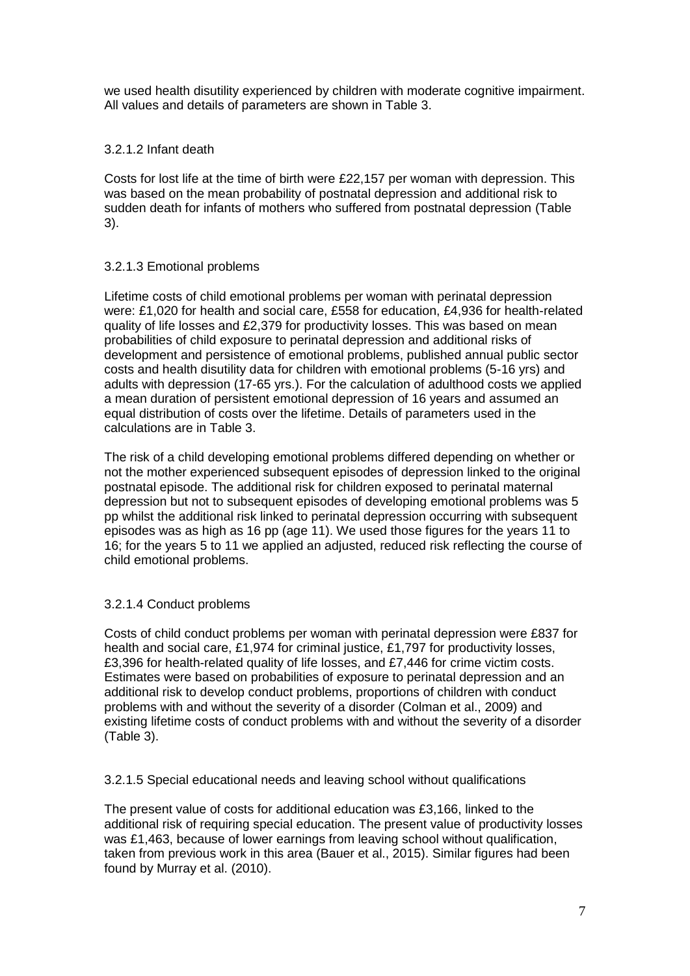we used health disutility experienced by children with moderate cognitive impairment. All values and details of parameters are shown in Table 3.

#### 3.2.1.2 Infant death

Costs for lost life at the time of birth were £22,157 per woman with depression. This was based on the mean probability of postnatal depression and additional risk to sudden death for infants of mothers who suffered from postnatal depression (Table 3).

#### 3.2.1.3 Emotional problems

Lifetime costs of child emotional problems per woman with perinatal depression were: £1,020 for health and social care, £558 for education, £4,936 for health-related quality of life losses and £2,379 for productivity losses. This was based on mean probabilities of child exposure to perinatal depression and additional risks of development and persistence of emotional problems, published annual public sector costs and health disutility data for children with emotional problems (5-16 yrs) and adults with depression (17-65 yrs.). For the calculation of adulthood costs we applied a mean duration of persistent emotional depression of 16 years and assumed an equal distribution of costs over the lifetime. Details of parameters used in the calculations are in Table 3.

The risk of a child developing emotional problems differed depending on whether or not the mother experienced subsequent episodes of depression linked to the original postnatal episode. The additional risk for children exposed to perinatal maternal depression but not to subsequent episodes of developing emotional problems was 5 pp whilst the additional risk linked to perinatal depression occurring with subsequent episodes was as high as 16 pp (age 11). We used those figures for the years 11 to 16; for the years 5 to 11 we applied an adjusted, reduced risk reflecting the course of child emotional problems.

#### 3.2.1.4 Conduct problems

Costs of child conduct problems per woman with perinatal depression were £837 for health and social care, £1,974 for criminal justice, £1,797 for productivity losses, £3,396 for health-related quality of life losses, and £7,446 for crime victim costs. Estimates were based on probabilities of exposure to perinatal depression and an additional risk to develop conduct problems, proportions of children with conduct problems with and without the severity of a disorder (Colman et al., 2009) and existing lifetime costs of conduct problems with and without the severity of a disorder (Table 3).

3.2.1.5 Special educational needs and leaving school without qualifications

The present value of costs for additional education was £3,166, linked to the additional risk of requiring special education. The present value of productivity losses was £1,463, because of lower earnings from leaving school without qualification, taken from previous work in this area (Bauer et al., 2015). Similar figures had been found by Murray et al. (2010).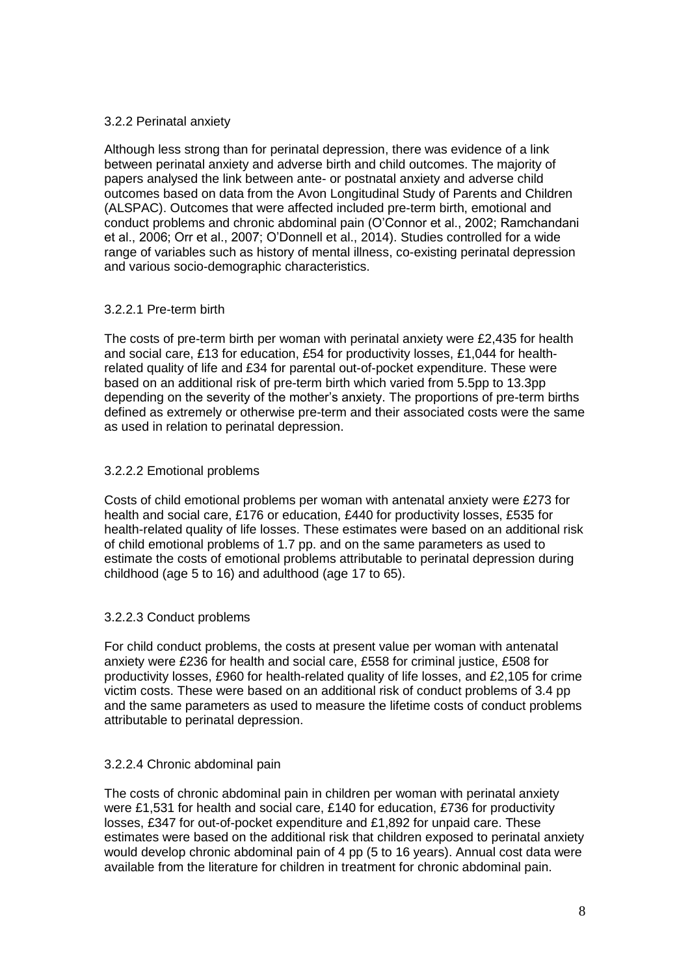#### 3.2.2 Perinatal anxiety

Although less strong than for perinatal depression, there was evidence of a link between perinatal anxiety and adverse birth and child outcomes. The majority of papers analysed the link between ante- or postnatal anxiety and adverse child outcomes based on data from the Avon Longitudinal Study of Parents and Children (ALSPAC). Outcomes that were affected included pre-term birth, emotional and conduct problems and chronic abdominal pain (O'Connor et al., 2002; Ramchandani et al., 2006; Orr et al., 2007; O'Donnell et al., 2014). Studies controlled for a wide range of variables such as history of mental illness, co-existing perinatal depression and various socio-demographic characteristics.

#### 3.2.2.1 Pre-term birth

The costs of pre-term birth per woman with perinatal anxiety were £2,435 for health and social care, £13 for education, £54 for productivity losses, £1,044 for healthrelated quality of life and £34 for parental out-of-pocket expenditure. These were based on an additional risk of pre-term birth which varied from 5.5pp to 13.3pp depending on the severity of the mother's anxiety. The proportions of pre-term births defined as extremely or otherwise pre-term and their associated costs were the same as used in relation to perinatal depression.

#### 3.2.2.2 Emotional problems

Costs of child emotional problems per woman with antenatal anxiety were £273 for health and social care, £176 or education, £440 for productivity losses, £535 for health-related quality of life losses. These estimates were based on an additional risk of child emotional problems of 1.7 pp. and on the same parameters as used to estimate the costs of emotional problems attributable to perinatal depression during childhood (age 5 to 16) and adulthood (age 17 to 65).

#### 3.2.2.3 Conduct problems

For child conduct problems, the costs at present value per woman with antenatal anxiety were £236 for health and social care, £558 for criminal justice, £508 for productivity losses, £960 for health-related quality of life losses, and £2,105 for crime victim costs. These were based on an additional risk of conduct problems of 3.4 pp and the same parameters as used to measure the lifetime costs of conduct problems attributable to perinatal depression.

#### 3.2.2.4 Chronic abdominal pain

The costs of chronic abdominal pain in children per woman with perinatal anxiety were £1,531 for health and social care, £140 for education, £736 for productivity losses, £347 for out-of-pocket expenditure and £1,892 for unpaid care. These estimates were based on the additional risk that children exposed to perinatal anxiety would develop chronic abdominal pain of 4 pp (5 to 16 years). Annual cost data were available from the literature for children in treatment for chronic abdominal pain.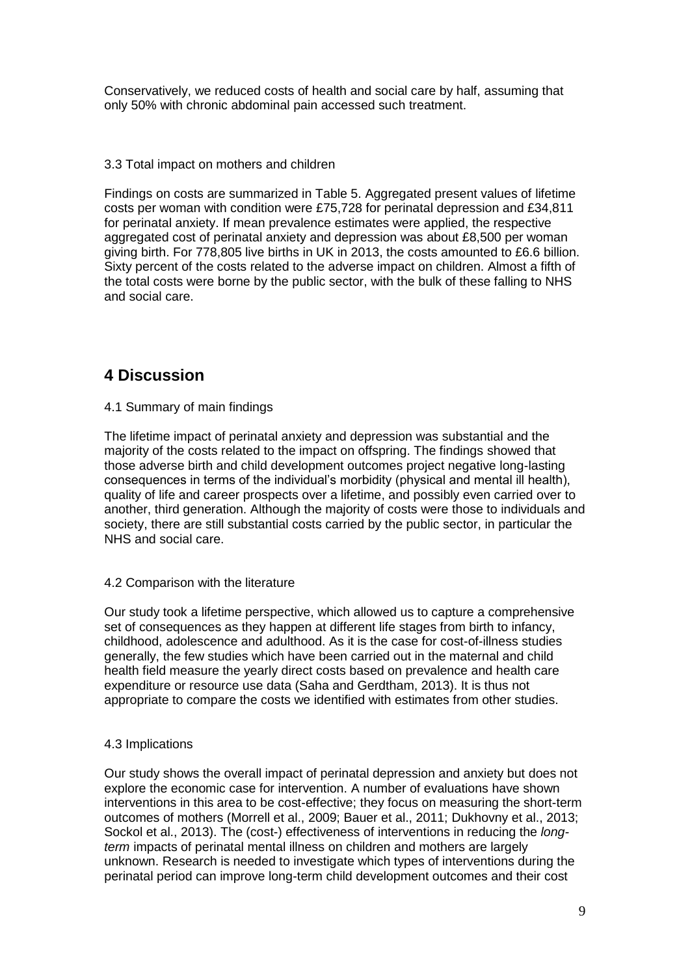Conservatively, we reduced costs of health and social care by half, assuming that only 50% with chronic abdominal pain accessed such treatment.

#### 3.3 Total impact on mothers and children

Findings on costs are summarized in Table 5. Aggregated present values of lifetime costs per woman with condition were £75,728 for perinatal depression and £34,811 for perinatal anxiety. If mean prevalence estimates were applied, the respective aggregated cost of perinatal anxiety and depression was about £8,500 per woman giving birth. For 778,805 live births in UK in 2013, the costs amounted to £6.6 billion. Sixty percent of the costs related to the adverse impact on children. Almost a fifth of the total costs were borne by the public sector, with the bulk of these falling to NHS and social care.

# **4 Discussion**

#### 4.1 Summary of main findings

The lifetime impact of perinatal anxiety and depression was substantial and the majority of the costs related to the impact on offspring. The findings showed that those adverse birth and child development outcomes project negative long-lasting consequences in terms of the individual's morbidity (physical and mental ill health), quality of life and career prospects over a lifetime, and possibly even carried over to another, third generation. Although the majority of costs were those to individuals and society, there are still substantial costs carried by the public sector, in particular the NHS and social care.

#### 4.2 Comparison with the literature

Our study took a lifetime perspective, which allowed us to capture a comprehensive set of consequences as they happen at different life stages from birth to infancy, childhood, adolescence and adulthood. As it is the case for cost-of-illness studies generally, the few studies which have been carried out in the maternal and child health field measure the yearly direct costs based on prevalence and health care expenditure or resource use data (Saha and Gerdtham, 2013). It is thus not appropriate to compare the costs we identified with estimates from other studies.

#### 4.3 Implications

Our study shows the overall impact of perinatal depression and anxiety but does not explore the economic case for intervention. A number of evaluations have shown interventions in this area to be cost-effective; they focus on measuring the short-term outcomes of mothers (Morrell et al., 2009; Bauer et al., 2011; Dukhovny et al., 2013; Sockol et al., 2013). The (cost-) effectiveness of interventions in reducing the *longterm* impacts of perinatal mental illness on children and mothers are largely unknown. Research is needed to investigate which types of interventions during the perinatal period can improve long-term child development outcomes and their cost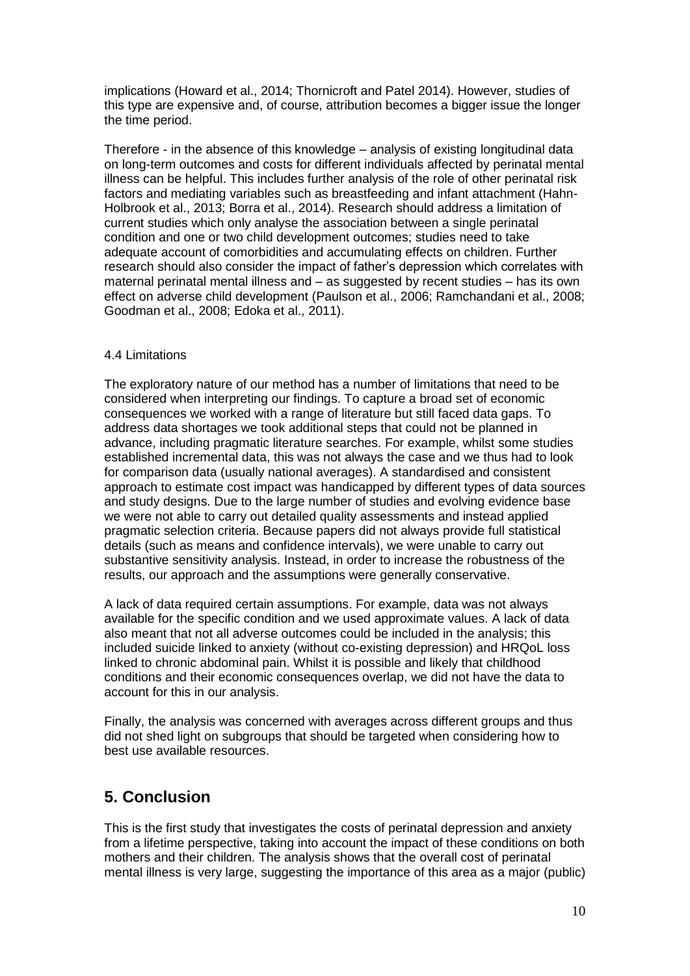implications (Howard et al., 2014; Thornicroft and Patel 2014). However, studies of this type are expensive and, of course, attribution becomes a bigger issue the longer the time period.

Therefore - in the absence of this knowledge – analysis of existing longitudinal data on long-term outcomes and costs for different individuals affected by perinatal mental illness can be helpful. This includes further analysis of the role of other perinatal risk factors and mediating variables such as breastfeeding and infant attachment (Hahn-Holbrook et al., 2013; Borra et al., 2014). Research should address a limitation of current studies which only analyse the association between a single perinatal condition and one or two child development outcomes; studies need to take adequate account of comorbidities and accumulating effects on children. Further research should also consider the impact of father's depression which correlates with maternal perinatal mental illness and – as suggested by recent studies – has its own effect on adverse child development (Paulson et al., 2006; Ramchandani et al., 2008; Goodman et al., 2008; Edoka et al., 2011).

#### 4.4 Limitations

The exploratory nature of our method has a number of limitations that need to be considered when interpreting our findings. To capture a broad set of economic consequences we worked with a range of literature but still faced data gaps. To address data shortages we took additional steps that could not be planned in advance, including pragmatic literature searches. For example, whilst some studies established incremental data, this was not always the case and we thus had to look for comparison data (usually national averages). A standardised and consistent approach to estimate cost impact was handicapped by different types of data sources and study designs. Due to the large number of studies and evolving evidence base we were not able to carry out detailed quality assessments and instead applied pragmatic selection criteria. Because papers did not always provide full statistical details (such as means and confidence intervals), we were unable to carry out substantive sensitivity analysis. Instead, in order to increase the robustness of the results, our approach and the assumptions were generally conservative.

A lack of data required certain assumptions. For example, data was not always available for the specific condition and we used approximate values. A lack of data also meant that not all adverse outcomes could be included in the analysis; this included suicide linked to anxiety (without co-existing depression) and HRQoL loss linked to chronic abdominal pain. Whilst it is possible and likely that childhood conditions and their economic consequences overlap, we did not have the data to account for this in our analysis.

Finally, the analysis was concerned with averages across different groups and thus did not shed light on subgroups that should be targeted when considering how to best use available resources.

## **5. Conclusion**

This is the first study that investigates the costs of perinatal depression and anxiety from a lifetime perspective, taking into account the impact of these conditions on both mothers and their children. The analysis shows that the overall cost of perinatal mental illness is very large, suggesting the importance of this area as a major (public)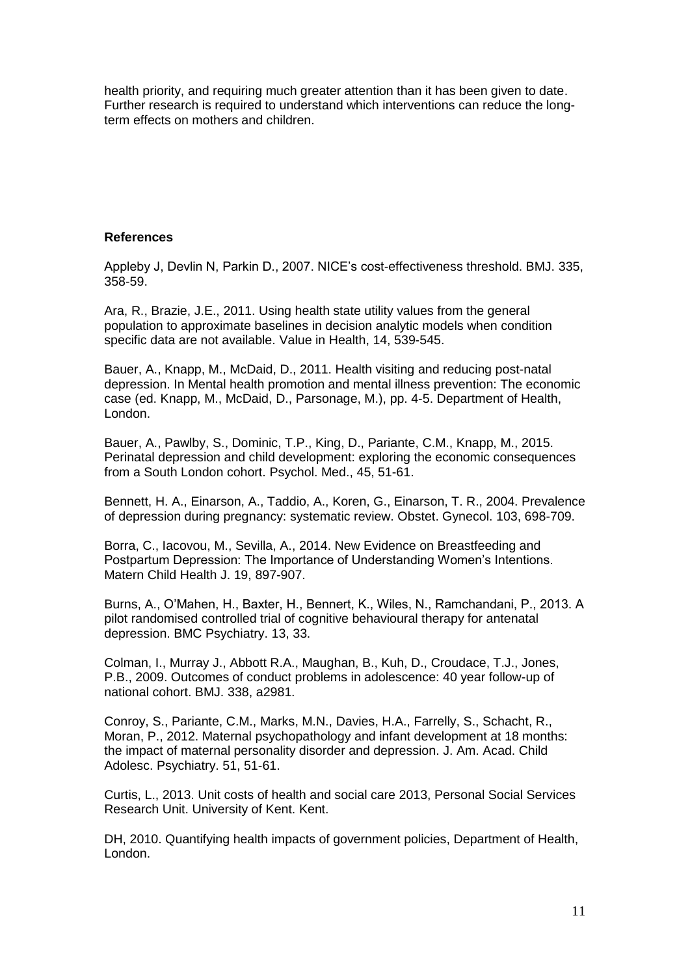health priority, and requiring much greater attention than it has been given to date. Further research is required to understand which interventions can reduce the longterm effects on mothers and children.

#### **References**

Appleby J, Devlin N, Parkin D., 2007. NICE's cost-effectiveness threshold. BMJ. 335, 358-59.

Ara, R., Brazie, J.E., 2011. Using health state utility values from the general population to approximate baselines in decision analytic models when condition specific data are not available. Value in Health, 14, 539-545.

Bauer, A., Knapp, M., McDaid, D., 2011. Health visiting and reducing post-natal depression. In Mental health promotion and mental illness prevention: The economic case (ed. Knapp, M., McDaid, D., Parsonage, M.), pp. 4-5. Department of Health, London.

Bauer, A., Pawlby, S., Dominic, T.P., King, D., Pariante, C.M., Knapp, M., 2015. Perinatal depression and child development: exploring the economic consequences from a South London cohort. Psychol. Med., 45, 51-61.

Bennett, H. A., Einarson, A., Taddio, A., Koren, G., Einarson, T. R., 2004. Prevalence of depression during pregnancy: systematic review. Obstet. Gynecol. 103, 698-709.

Borra, C., Iacovou, M., Sevilla, A., 2014. New Evidence on Breastfeeding and Postpartum Depression: The Importance of Understanding Women's Intentions. Matern Child Health J. 19, 897-907.

Burns, A., O'Mahen, H., Baxter, H., Bennert, K., Wiles, N., Ramchandani, P., 2013. A pilot randomised controlled trial of cognitive behavioural therapy for antenatal depression. BMC Psychiatry. 13, 33.

Colman, I., Murray J., Abbott R.A., Maughan, B., Kuh, D., Croudace, T.J., Jones, P.B., 2009. Outcomes of conduct problems in adolescence: 40 year follow-up of national cohort. BMJ. 338, a2981.

Conroy, S., Pariante, C.M., Marks, M.N., Davies, H.A., Farrelly, S., Schacht, R., Moran, P., 2012. Maternal psychopathology and infant development at 18 months: the impact of maternal personality disorder and depression. J. Am. Acad. Child Adolesc. Psychiatry. 51, 51-61.

Curtis, L., 2013. Unit costs of health and social care 2013, Personal Social Services Research Unit. University of Kent. Kent.

DH, 2010. Quantifying health impacts of government policies, Department of Health, London.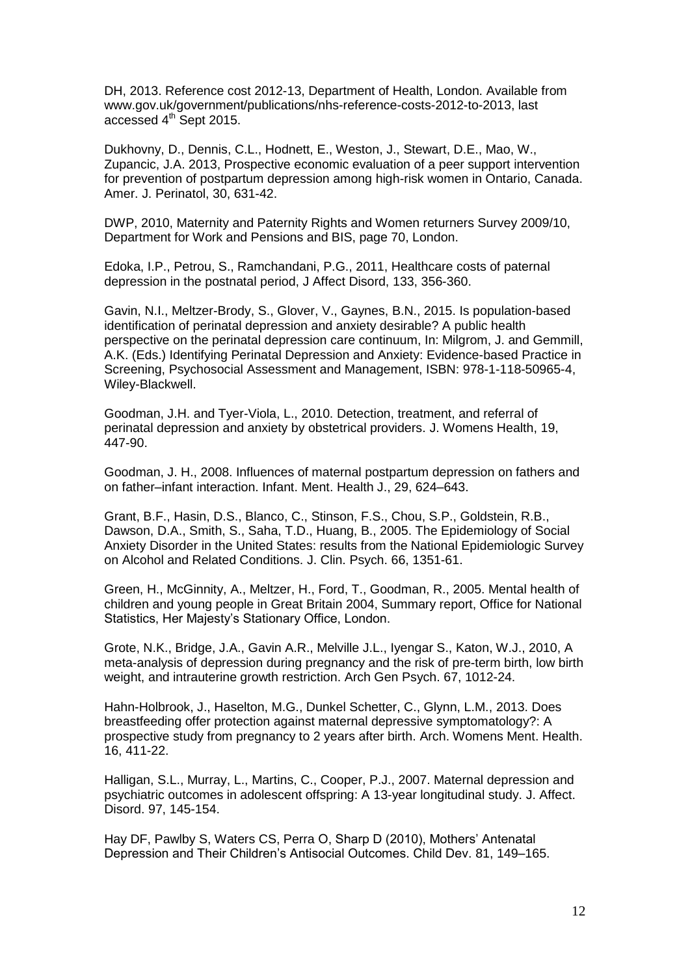DH, 2013. Reference cost 2012-13, Department of Health, London. Available from [www.gov.uk/government/publications/nhs-reference-costs-2012-to-2013,](http://www.gov.uk/government/publications/nhs-reference-costs-2012-to-2013) last accessed 4<sup>th</sup> Sept 2015.

Dukhovny, D., Dennis, C.L., Hodnett, E., Weston, J., Stewart, D.E., Mao, W., Zupancic, J.A. 2013, Prospective economic evaluation of a peer support intervention for prevention of postpartum depression among high-risk women in Ontario, Canada. Amer. J. Perinatol, 30, 631-42.

DWP, 2010, Maternity and Paternity Rights and Women returners Survey 2009/10, Department for Work and Pensions and BIS, page 70, London.

Edoka, I.P., Petrou, S., Ramchandani, P.G., 2011, Healthcare costs of paternal depression in the postnatal period, J Affect Disord, 133, 356-360.

Gavin, N.I., Meltzer-Brody, S., Glover, V., Gaynes, B.N., 2015. Is population-based identification of perinatal depression and anxiety desirable? A public health perspective on the perinatal depression care continuum, In: Milgrom, J. and Gemmill, A.K. (Eds.) Identifying Perinatal Depression and Anxiety: Evidence-based Practice in Screening, Psychosocial Assessment and Management, ISBN: 978-1-118-50965-4, Wiley-Blackwell.

Goodman, J.H. and Tyer-Viola, L., 2010. Detection, treatment, and referral of perinatal depression and anxiety by obstetrical providers. J. Womens Health, 19, 447-90.

Goodman, J. H., 2008. Influences of maternal postpartum depression on fathers and on father–infant interaction. Infant. Ment. Health J., 29, 624–643.

Grant, B.F., Hasin, D.S., Blanco, C., Stinson, F.S., Chou, S.P., Goldstein, R.B., Dawson, D.A., Smith, S., Saha, T.D., Huang, B., 2005. The Epidemiology of Social Anxiety Disorder in the United States: results from the National Epidemiologic Survey on Alcohol and Related Conditions. J. Clin. Psych. 66, 1351-61.

Green, H., McGinnity, A., Meltzer, H., Ford, T., Goodman, R., 2005. Mental health of children and young people in Great Britain 2004, Summary report, Office for National Statistics, Her Majesty's Stationary Office, London.

Grote, N.K., Bridge, J.A., Gavin A.R., Melville J.L., Iyengar S., Katon, W.J., 2010, A meta-analysis of depression during pregnancy and the risk of pre-term birth, low birth weight, and intrauterine growth restriction. Arch Gen Psych. 67, 1012-24.

Hahn-Holbrook, J., Haselton, M.G., Dunkel Schetter, C., Glynn, L.M., 2013. Does breastfeeding offer protection against maternal depressive symptomatology?: A prospective study from pregnancy to 2 years after birth. Arch. Womens Ment. Health. 16, 411-22.

Halligan, S.L., Murray, L., Martins, C., Cooper, P.J., 2007. Maternal depression and psychiatric outcomes in adolescent offspring: A 13-year longitudinal study. J. Affect. Disord. 97, 145-154.

Hay DF, Pawlby S, Waters CS, Perra O, Sharp D (2010), Mothers' Antenatal Depression and Their Children's Antisocial Outcomes. Child Dev. 81, 149–165.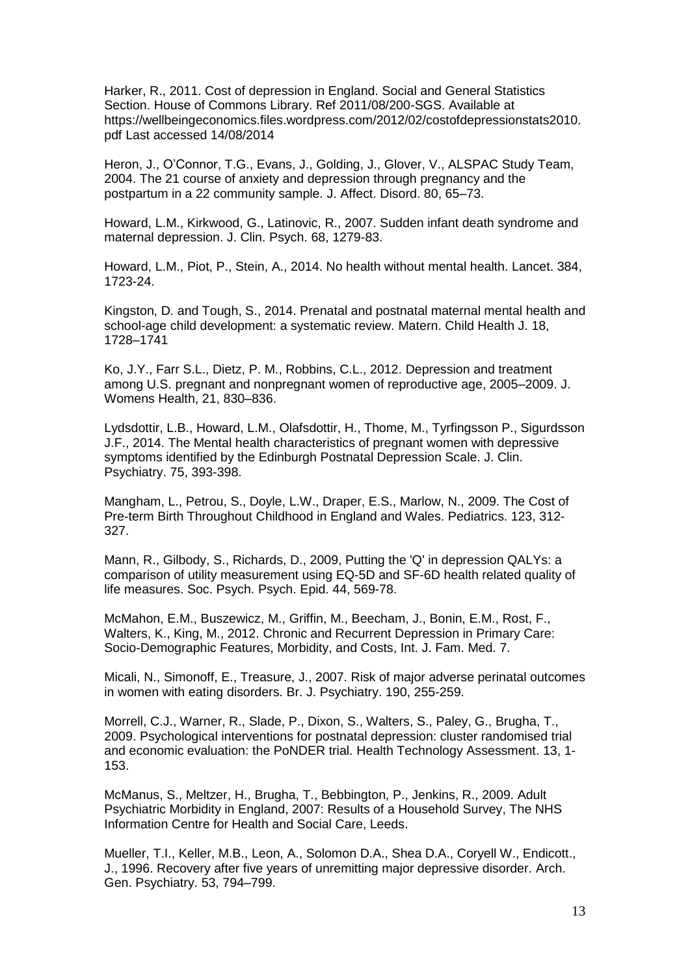Harker, R., 2011. Cost of depression in England. Social and General Statistics Section. House of Commons Library. Ref 2011/08/200-SGS. Available at https://wellbeingeconomics.files.wordpress.com/2012/02/costofdepressionstats2010. pdf Last accessed 14/08/2014

Heron, J., O'Connor, T.G., Evans, J., Golding, J., Glover, V., ALSPAC Study Team, 2004. The 21 course of anxiety and depression through pregnancy and the postpartum in a 22 community sample. J. Affect. Disord. 80, 65–73.

Howard, L.M., Kirkwood, G., Latinovic, R., 2007. Sudden infant death syndrome and maternal depression. J. Clin. Psych. 68, 1279-83.

Howard, L.M., Piot, P., Stein, A., 2014. No health without mental health. Lancet. 384, 1723-24.

Kingston, D. and Tough, S., 2014. Prenatal and postnatal maternal mental health and school-age child development: a systematic review. Matern. Child Health J. 18, 1728–1741

Ko, J.Y., Farr S.L., Dietz, P. M., Robbins, C.L., 2012. Depression and treatment among U.S. pregnant and nonpregnant women of reproductive age, 2005–2009. J. Womens Health, 21, 830–836.

Lydsdottir, L.B., Howard, L.M., Olafsdottir, H., Thome, M., Tyrfingsson P., Sigurdsson J.F., 2014. The Mental health characteristics of pregnant women with depressive symptoms identified by the Edinburgh Postnatal Depression Scale. J. Clin. Psychiatry. 75, 393-398.

Mangham, L., Petrou, S., Doyle, L.W., Draper, E.S., Marlow, N., 2009. The Cost of Pre-term Birth Throughout Childhood in England and Wales. Pediatrics. 123, 312- 327.

Mann, R., Gilbody, S., Richards, D., 2009, Putting the 'Q' in depression QALYs: a comparison of utility measurement using EQ-5D and SF-6D health related quality of life measures. Soc. Psych. Psych. Epid. 44, 569-78.

McMahon, E.M., Buszewicz, M., Griffin, M., Beecham, J., Bonin, E.M., Rost, F., Walters, K., King, M., 2012. Chronic and Recurrent Depression in Primary Care: Socio-Demographic Features, Morbidity, and Costs, Int. J. Fam. Med. 7.

Micali, N., Simonoff, E., Treasure, J., 2007. Risk of major adverse perinatal outcomes in women with eating disorders. Br. J. Psychiatry. 190, 255-259.

Morrell, C.J., Warner, R., Slade, P., Dixon, S., Walters, S., Paley, G., Brugha, T., 2009. Psychological interventions for postnatal depression: cluster randomised trial and economic evaluation: the PoNDER trial. Health Technology Assessment. 13, 1- 153.

McManus, S., Meltzer, H., Brugha, T., Bebbington, P., Jenkins, R., 2009. Adult Psychiatric Morbidity in England, 2007: Results of a Household Survey, The NHS Information Centre for Health and Social Care, Leeds.

Mueller, T.I., Keller, M.B., Leon, A., Solomon D.A., Shea D.A., Coryell W., Endicott., J., 1996. Recovery after five years of unremitting major depressive disorder. Arch. Gen. Psychiatry. 53, 794–799.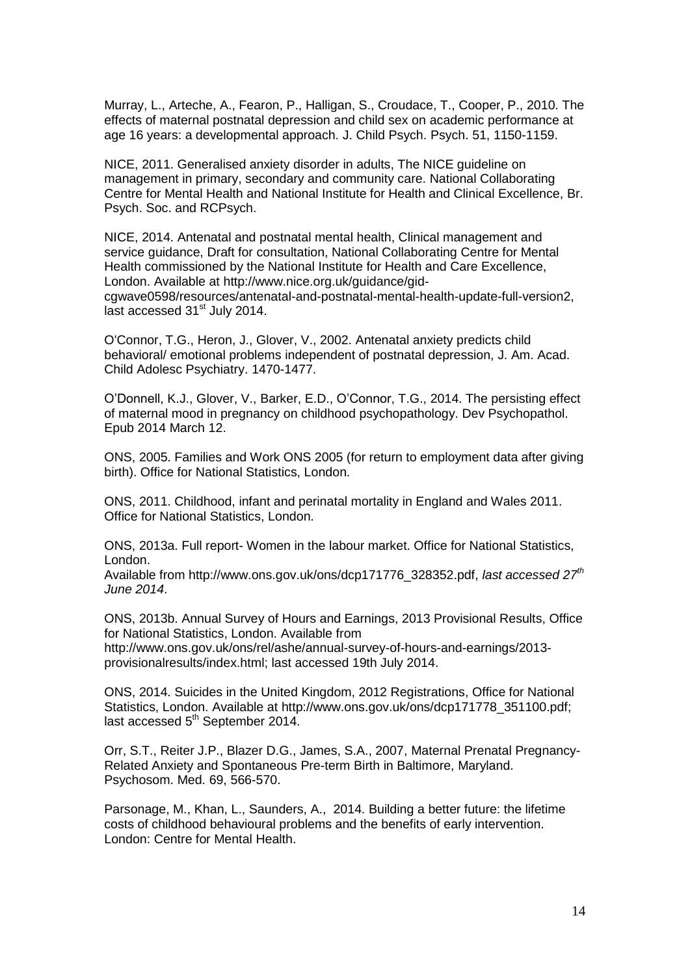Murray, L., Arteche, A., Fearon, P., [Halligan,](http://centaur.reading.ac.uk/view/creators/90000832.html) S., Croudace, T., [Cooper,](http://centaur.reading.ac.uk/view/creators/90000052.html) P., 2010. The effects of maternal postnatal depression and child sex on academic performance at age 16 years: a developmental approach. J. Child Psych. Psych. 51, 1150-1159.

NICE, 2011. Generalised anxiety disorder in adults, The NICE guideline on management in primary, secondary and community care. National Collaborating Centre for Mental Health and National Institute for Health and Clinical Excellence, Br. Psych. Soc. and RCPsych.

NICE, 2014. Antenatal and postnatal mental health, Clinical management and service guidance, Draft for consultation, National Collaborating Centre for Mental Health commissioned by the National Institute for Health and Care Excellence, London. Available at [http://www.nice.org.uk/guidance/gid](http://www.nice.org.uk/guidance/gid-cgwave0598/resources/antenatal-and-postnatal-mental-health-update-full-version2)[cgwave0598/resources/antenatal-and-postnatal-mental-health-update-full-version2,](http://www.nice.org.uk/guidance/gid-cgwave0598/resources/antenatal-and-postnatal-mental-health-update-full-version2) last accessed 31<sup>st</sup> July 2014.

O'Connor, T.G., Heron, J., Glover, V., 2002. Antenatal anxiety predicts child behavioral/ emotional problems independent of postnatal depression, J. Am. Acad. Child Adolesc Psychiatry. 1470-1477.

O'Donnell, K.J., Glover, V., Barker, E.D., O'Connor, T.G., 2014. The persisting effect of maternal mood in pregnancy on childhood psychopathology. Dev Psychopathol. Epub 2014 March 12.

ONS, 2005. Families and Work ONS 2005 (for return to employment data after giving birth). Office for National Statistics, London.

ONS, 2011. Childhood, infant and perinatal mortality in England and Wales 2011. Office for National Statistics, London.

ONS, 2013a. Full report- Women in the labour market. Office for National Statistics, London.

Available from [http://www.ons.gov.uk/ons/dcp171776\\_328352.pdf,](http://www.ons.gov.uk/ons/dcp171776_328352.pdf) *last accessed 27th June 2014*.

ONS, 2013b. Annual Survey of Hours and Earnings, 2013 Provisional Results, Office for National Statistics, London. Available from

[http://www.ons.gov.uk/ons/rel/ashe/annual-survey-of-hours-and-earnings/2013](http://www.ons.gov.uk/ons/rel/ashe/annual-survey-of-hours-and-earnings/2013-provisionalresults/index.html) [provisionalresults/index.html;](http://www.ons.gov.uk/ons/rel/ashe/annual-survey-of-hours-and-earnings/2013-provisionalresults/index.html) last accessed 19th July 2014.

ONS, 2014. Suicides in the United Kingdom, 2012 Registrations, Office for National Statistics, London. Available at [http://www.ons.gov.uk/ons/dcp171778\\_351100.pdf;](http://www.ons.gov.uk/ons/dcp171778_351100.pdf) last accessed 5<sup>th</sup> September 2014.

Orr, S.T., Reiter J.P., Blazer D.G., James, S.A., 2007, Maternal Prenatal Pregnancy-Related Anxiety and Spontaneous Pre-term Birth in Baltimore, Maryland. Psychosom. Med. 69, 566-570.

Parsonage, M., Khan, L., Saunders, A., 2014. Building a better future: the lifetime costs of childhood behavioural problems and the benefits of early intervention. London: Centre for Mental Health.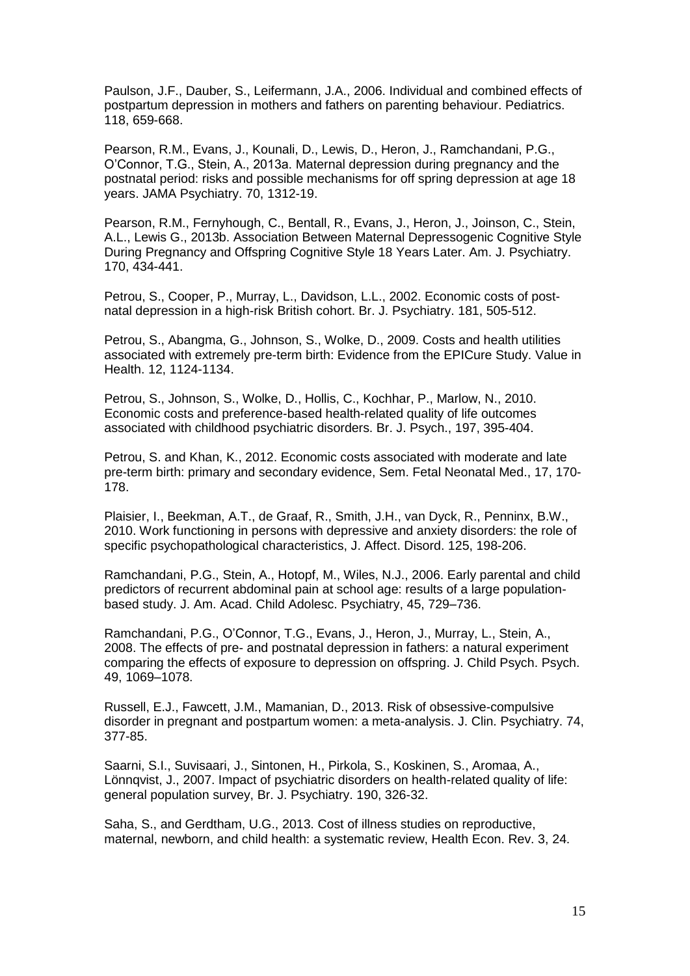Paulson, J.F., Dauber, S., Leifermann, J.A., 2006. Individual and combined effects of postpartum depression in mothers and fathers on parenting behaviour. Pediatrics. 118, 659-668.

Pearson, R.M., Evans, J., Kounali, D., Lewis, D., Heron, J., Ramchandani, P.G., O'Connor, T.G., Stein, A., 2013a. Maternal depression during pregnancy and the postnatal period: risks and possible mechanisms for off spring depression at age 18 years. JAMA Psychiatry. 70, 1312-19.

Pearson, R.M., Fernyhough, C., Bentall, R., Evans, J., Heron, J., Joinson, C., Stein, A.L., Lewis G., 2013b. Association Between Maternal Depressogenic Cognitive Style During Pregnancy and Offspring Cognitive Style 18 Years Later. Am. J. Psychiatry. 170, 434-441.

Petrou, S., Cooper, P., Murray, L., Davidson, L.L., 2002. Economic costs of postnatal depression in a high-risk British cohort. Br. J. Psychiatry. 181, 505-512.

Petrou, S., Abangma, G., Johnson, S., Wolke, D., 2009. Costs and health utilities associated with extremely pre-term birth: Evidence from the EPICure Study. Value in Health. 12, 1124-1134.

Petrou, S., Johnson, S., Wolke, D., Hollis, C., Kochhar, P., Marlow, N., 2010. Economic costs and preference-based health-related quality of life outcomes associated with childhood psychiatric disorders. Br. J. Psych., 197, 395-404.

Petrou, S. and Khan, K., 2012. Economic costs associated with moderate and late pre-term birth: primary and secondary evidence, Sem. Fetal Neonatal Med., 17, 170- 178.

Plaisier, I., Beekman, A.T., de Graaf, R., Smith, J.H., van Dyck, R., Penninx, B.W., 2010. Work functioning in persons with depressive and anxiety disorders: the role of specific psychopathological characteristics, J. Affect. Disord. 125, 198-206.

Ramchandani, P.G., Stein, A., Hotopf, M., Wiles, N.J., 2006. Early parental and child predictors of recurrent abdominal pain at school age: results of a large populationbased study. J. Am. Acad. Child Adolesc. Psychiatry, 45, 729–736.

Ramchandani, P.G., O'Connor, T.G., Evans, J., Heron, J., Murray, L., Stein, A., 2008. The effects of pre- and postnatal depression in fathers: a natural experiment comparing the effects of exposure to depression on offspring. J. Child Psych. Psych. 49, 1069–1078.

Russell, E.J., Fawcett, J.M., Mamanian, D., 2013. Risk of obsessive-compulsive disorder in pregnant and postpartum women: a meta-analysis. J. Clin. Psychiatry. 74, 377-85.

Saarni, S.I., Suvisaari, J., Sintonen, H., Pirkola, S., Koskinen, S., Aromaa, A., Lönnqvist, J., 2007. Impact of psychiatric disorders on health-related quality of life: general population survey, Br. J. Psychiatry. 190, 326-32.

Saha, S., and Gerdtham, U.G., 2013. Cost of illness studies on reproductive, maternal, newborn, and child health: a systematic review, Health Econ. Rev. 3, 24.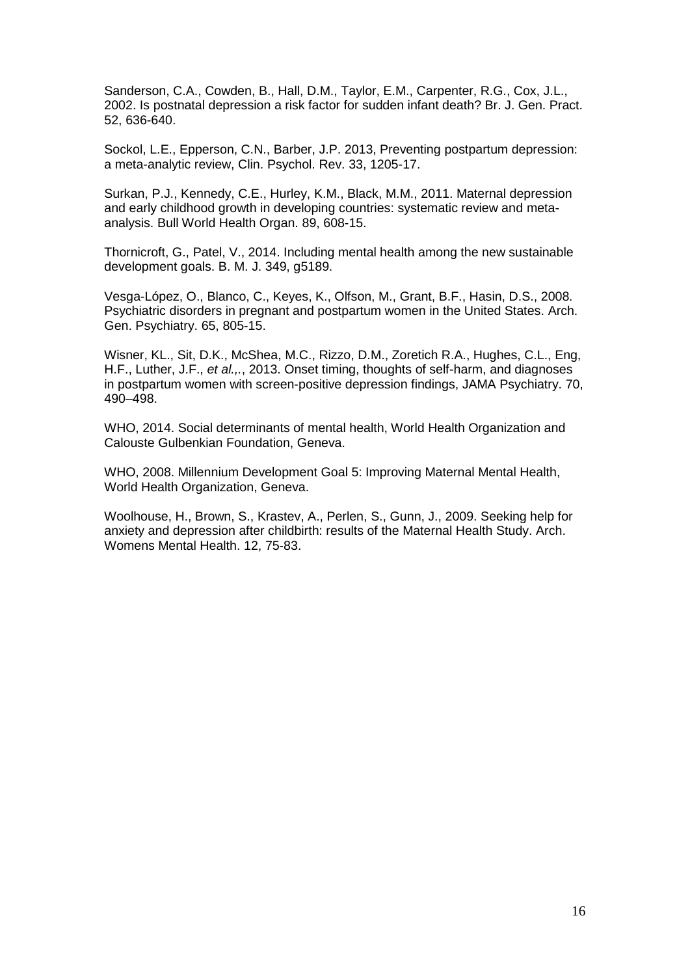Sanderson, C.A., Cowden, B., Hall, D.M., Taylor, E.M., Carpenter, R.G., Cox, J.L., 2002. Is postnatal depression a risk factor for sudden infant death? Br. J. Gen. Pract. 52, 636-640.

Sockol, L.E., Epperson, C.N., Barber, J.P. 2013, Preventing postpartum depression: a meta-analytic review, Clin. Psychol. Rev. 33, 1205-17.

Surkan, P.J., Kennedy, C.E., Hurley, K.M., Black, M.M., 2011. Maternal depression and early childhood growth in developing countries: systematic review and metaanalysis. Bull World Health Organ. 89, 608-15.

Thornicroft, G., Patel, V., 2014. Including mental health among the new sustainable development goals. B. M. J. 349, g5189.

Vesga-López, O., Blanco, C., Keyes, K., Olfson, M., Grant, B.F., Hasin, D.S., 2008. Psychiatric disorders in pregnant and postpartum women in the United States. Arch. Gen. Psychiatry. 65, 805-15.

Wisner, KL., Sit, D.K., McShea, M.C., Rizzo, D.M., Zoretich R.A., Hughes, C.L., Eng, H.F., Luther, J.F., *et al.,.*, 2013. Onset timing, thoughts of self-harm, and diagnoses in postpartum women with screen-positive depression findings, JAMA Psychiatry. 70, 490–498.

WHO, 2014. Social determinants of mental health, World Health Organization and Calouste Gulbenkian Foundation, Geneva.

WHO, 2008. Millennium Development Goal 5: Improving Maternal Mental Health, World Health Organization, Geneva.

Woolhouse, H., Brown, S., Krastev, A., Perlen, S., Gunn, J., 2009. Seeking help for anxiety and depression after childbirth: results of the Maternal Health Study. Arch. Womens Mental Health. 12, 75-83.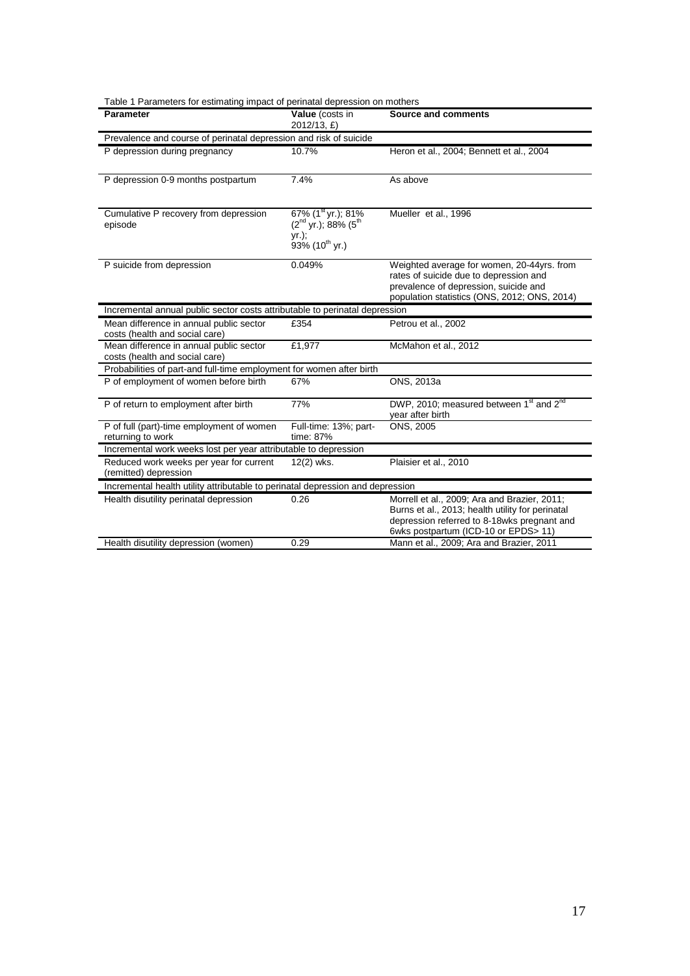| <b>Parameter</b>                                                               | Value (costs in<br>2012/13, £)                                                                    | Source and comments                                                                                                                                                                     |  |  |  |
|--------------------------------------------------------------------------------|---------------------------------------------------------------------------------------------------|-----------------------------------------------------------------------------------------------------------------------------------------------------------------------------------------|--|--|--|
| Prevalence and course of perinatal depression and risk of suicide              |                                                                                                   |                                                                                                                                                                                         |  |  |  |
| P depression during pregnancy                                                  | 10.7%                                                                                             | Heron et al., 2004; Bennett et al., 2004                                                                                                                                                |  |  |  |
| P depression 0-9 months postpartum                                             | 7.4%                                                                                              | As above                                                                                                                                                                                |  |  |  |
| Cumulative P recovery from depression<br>episode                               | 67% (1 <sup>st</sup> yr.); 81%<br>$(2nd yr.); 88% (5th)$<br>$yr$ );<br>93% (10 <sup>th</sup> yr.) | Mueller et al., 1996                                                                                                                                                                    |  |  |  |
| P suicide from depression                                                      | 0.049%                                                                                            | Weighted average for women, 20-44yrs. from<br>rates of suicide due to depression and<br>prevalence of depression, suicide and<br>population statistics (ONS, 2012; ONS, 2014)           |  |  |  |
| Incremental annual public sector costs attributable to perinatal depression    |                                                                                                   |                                                                                                                                                                                         |  |  |  |
| Mean difference in annual public sector<br>costs (health and social care)      | £354                                                                                              | Petrou et al., 2002                                                                                                                                                                     |  |  |  |
| Mean difference in annual public sector<br>costs (health and social care)      | £1,977                                                                                            | McMahon et al., 2012                                                                                                                                                                    |  |  |  |
| Probabilities of part-and full-time employment for women after birth           |                                                                                                   |                                                                                                                                                                                         |  |  |  |
| P of employment of women before birth                                          | 67%                                                                                               | ONS. 2013a                                                                                                                                                                              |  |  |  |
| P of return to employment after birth                                          | 77%                                                                                               | DWP, 2010; measured between 1 <sup>st</sup> and 2 <sup>nd</sup><br>year after birth                                                                                                     |  |  |  |
| P of full (part)-time employment of women<br>returning to work                 | Full-time: 13%; part-<br>time: 87%                                                                | ONS, 2005                                                                                                                                                                               |  |  |  |
| Incremental work weeks lost per year attributable to depression                |                                                                                                   |                                                                                                                                                                                         |  |  |  |
| Reduced work weeks per year for current<br>(remitted) depression               | 12(2) wks.                                                                                        | Plaisier et al., 2010                                                                                                                                                                   |  |  |  |
| Incremental health utility attributable to perinatal depression and depression |                                                                                                   |                                                                                                                                                                                         |  |  |  |
| Health disutility perinatal depression                                         | 0.26                                                                                              | Morrell et al., 2009; Ara and Brazier, 2011;<br>Burns et al., 2013; health utility for perinatal<br>depression referred to 8-18wks pregnant and<br>6wks postpartum (ICD-10 or EPDS> 11) |  |  |  |
| Health disutility depression (women)                                           | 0.29                                                                                              | Mann et al., 2009; Ara and Brazier, 2011                                                                                                                                                |  |  |  |

#### Table 1 Parameters for estimating impact of perinatal depression on mothers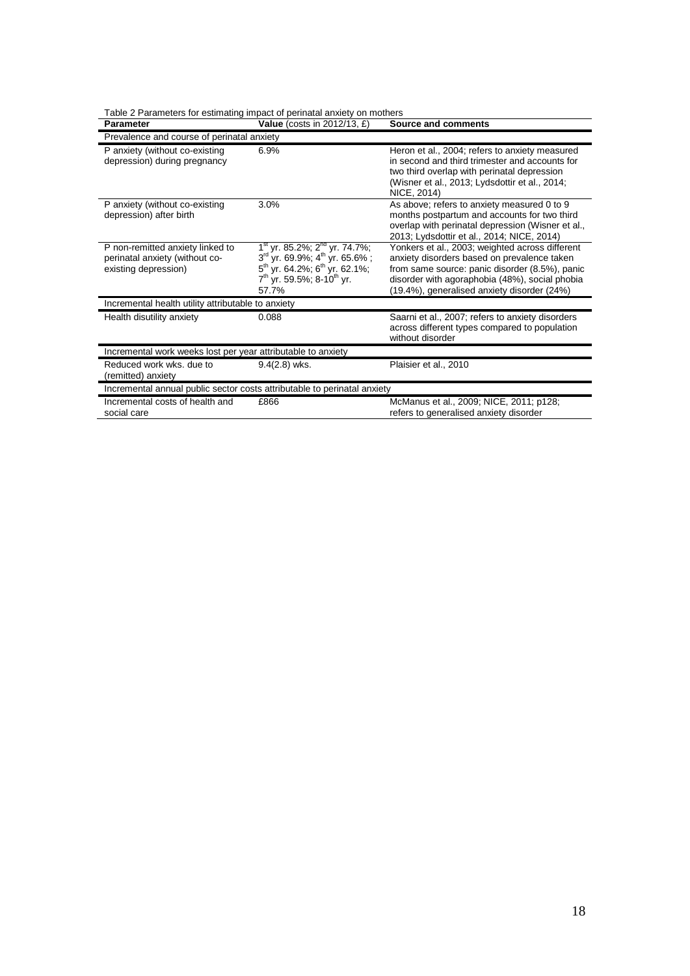| Table 2 Parameters for estimating impact of perinatal anxiety on mothers |  |  |  |
|--------------------------------------------------------------------------|--|--|--|
|                                                                          |  |  |  |

| Parameter                                                                                  | Value (costs in 2012/13, £)                                                                                                                                                                                     | Source and comments                                                                                                                                                                                                                               |  |  |
|--------------------------------------------------------------------------------------------|-----------------------------------------------------------------------------------------------------------------------------------------------------------------------------------------------------------------|---------------------------------------------------------------------------------------------------------------------------------------------------------------------------------------------------------------------------------------------------|--|--|
| Prevalence and course of perinatal anxiety                                                 |                                                                                                                                                                                                                 |                                                                                                                                                                                                                                                   |  |  |
| P anxiety (without co-existing<br>depression) during pregnancy                             | 6.9%                                                                                                                                                                                                            | Heron et al., 2004; refers to anxiety measured<br>in second and third trimester and accounts for<br>two third overlap with perinatal depression<br>(Wisner et al., 2013; Lydsdottir et al., 2014;<br>NICE, 2014)                                  |  |  |
| P anxiety (without co-existing<br>depression) after birth                                  | 3.0%                                                                                                                                                                                                            | As above; refers to anxiety measured 0 to 9<br>months postpartum and accounts for two third<br>overlap with perinatal depression (Wisner et al.,<br>2013; Lydsdottir et al., 2014; NICE, 2014)                                                    |  |  |
| P non-remitted anxiety linked to<br>perinatal anxiety (without co-<br>existing depression) | 1 <sup>st</sup> yr. 85.2%; 2 <sup>nd</sup> yr. 74.7%;<br>3rd yr. 69.9%; 4 <sup>th</sup> yr. 65.6%;<br>5 <sup>th</sup> yr. 64.2%; 6 <sup>th</sup> yr. 62.1%;<br>$7th$ yr. 59.5%; 8-10 <sup>th</sup> yr.<br>57.7% | Yonkers et al., 2003; weighted across different<br>anxiety disorders based on prevalence taken<br>from same source: panic disorder (8.5%), panic<br>disorder with agoraphobia (48%), social phobia<br>(19.4%), generalised anxiety disorder (24%) |  |  |
| Incremental health utility attributable to anxiety                                         |                                                                                                                                                                                                                 |                                                                                                                                                                                                                                                   |  |  |
| Health disutility anxiety                                                                  | 0.088                                                                                                                                                                                                           | Saarni et al., 2007; refers to anxiety disorders<br>across different types compared to population<br>without disorder                                                                                                                             |  |  |
| Incremental work weeks lost per year attributable to anxiety                               |                                                                                                                                                                                                                 |                                                                                                                                                                                                                                                   |  |  |
| Reduced work wks, due to<br>(remitted) anxiety                                             | $9.4(2.8)$ wks.                                                                                                                                                                                                 | Plaisier et al., 2010                                                                                                                                                                                                                             |  |  |
| Incremental annual public sector costs attributable to perinatal anxiety                   |                                                                                                                                                                                                                 |                                                                                                                                                                                                                                                   |  |  |
| Incremental costs of health and<br>social care                                             | £866                                                                                                                                                                                                            | McManus et al., 2009; NICE, 2011; p128;<br>refers to generalised anxiety disorder                                                                                                                                                                 |  |  |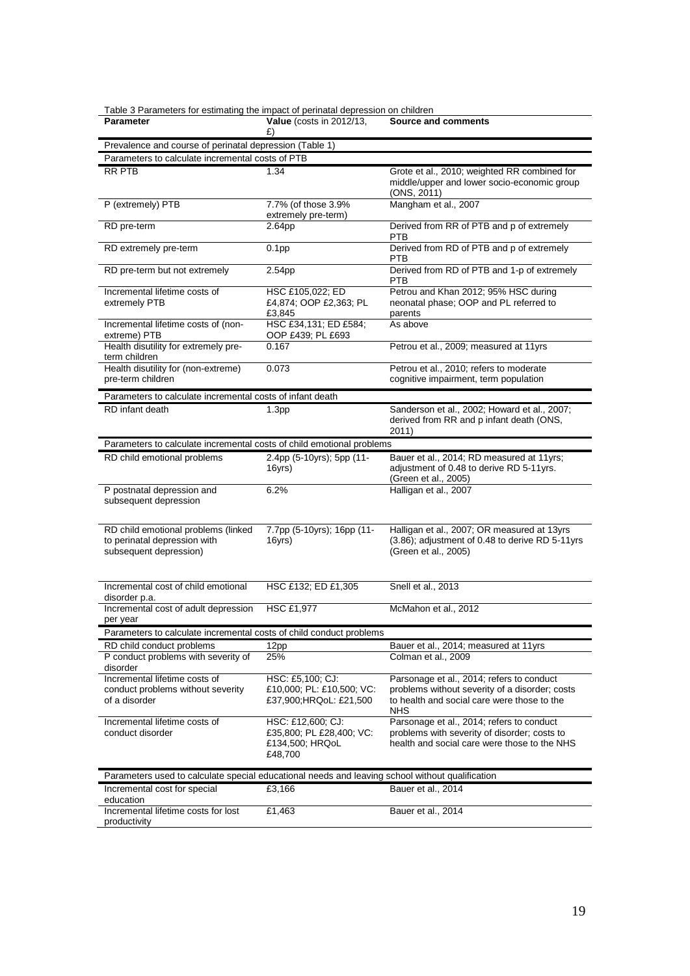| Table 3 Parameters for estimating the impact of perinatal depression on children |  |  |
|----------------------------------------------------------------------------------|--|--|
|                                                                                  |  |  |

| rable of arameters for estimating the impact of permatar depression on critiquent               |                                                                             |                                                                                                                                           |
|-------------------------------------------------------------------------------------------------|-----------------------------------------------------------------------------|-------------------------------------------------------------------------------------------------------------------------------------------|
| Parameter                                                                                       | <b>Value</b> (costs in 2012/13,<br>£)                                       | <b>Source and comments</b>                                                                                                                |
| Prevalence and course of perinatal depression (Table 1)                                         |                                                                             |                                                                                                                                           |
| Parameters to calculate incremental costs of PTB                                                |                                                                             |                                                                                                                                           |
| <b>RR PTB</b>                                                                                   | 1.34                                                                        | Grote et al., 2010; weighted RR combined for<br>middle/upper and lower socio-economic group<br>(ONS, 2011)                                |
| P (extremely) PTB                                                                               | 7.7% (of those 3.9%<br>extremely pre-term)                                  | Mangham et al., 2007                                                                                                                      |
| RD pre-term                                                                                     | 2.64pp                                                                      | Derived from RR of PTB and p of extremely<br><b>PTB</b>                                                                                   |
| RD extremely pre-term                                                                           | 0.1 <sub>pp</sub>                                                           | Derived from RD of PTB and p of extremely<br>PTB                                                                                          |
| RD pre-term but not extremely                                                                   | 2.54pp                                                                      | Derived from RD of PTB and 1-p of extremely<br><b>PTB</b>                                                                                 |
| Incremental lifetime costs of<br>extremely PTB                                                  | HSC £105,022; ED<br>£4,874; OOP £2,363; PL<br>£3,845                        | Petrou and Khan 2012; 95% HSC during<br>neonatal phase; OOP and PL referred to<br>parents                                                 |
| Incremental lifetime costs of (non-<br>extreme) PTB                                             | HSC £34,131; ED £584;<br>OOP £439; PL £693                                  | As above                                                                                                                                  |
| Health disutility for extremely pre-<br>term children                                           | 0.167                                                                       | Petrou et al., 2009; measured at 11yrs                                                                                                    |
| Health disutility for (non-extreme)<br>pre-term children                                        | 0.073                                                                       | Petrou et al., 2010; refers to moderate<br>cognitive impairment, term population                                                          |
| Parameters to calculate incremental costs of infant death                                       |                                                                             |                                                                                                                                           |
| RD infant death                                                                                 | 1.3 <sub>pp</sub>                                                           | Sanderson et al., 2002; Howard et al., 2007;<br>derived from RR and p infant death (ONS,<br>2011)                                         |
| Parameters to calculate incremental costs of child emotional problems                           |                                                                             |                                                                                                                                           |
| RD child emotional problems                                                                     | 2.4pp (5-10yrs); 5pp (11-<br>16yrs)                                         | Bauer et al., 2014; RD measured at 11yrs;<br>adjustment of 0.48 to derive RD 5-11yrs.<br>(Green et al., 2005)                             |
| P postnatal depression and<br>subsequent depression                                             | 6.2%                                                                        | Halligan et al., 2007                                                                                                                     |
| RD child emotional problems (linked<br>to perinatal depression with<br>subsequent depression)   | 7.7pp (5-10yrs); 16pp (11-<br>16yrs)                                        | Halligan et al., 2007; OR measured at 13yrs<br>(3.86); adjustment of 0.48 to derive RD 5-11yrs<br>(Green et al., 2005)                    |
| Incremental cost of child emotional<br>disorder p.a.                                            | HSC £132; ED £1,305                                                         | Snell et al., 2013                                                                                                                        |
| Incremental cost of adult depression<br>per year                                                | <b>HSC £1,977</b>                                                           | McMahon et al., 2012                                                                                                                      |
| Parameters to calculate incremental costs of child conduct problems                             |                                                                             |                                                                                                                                           |
| RD child conduct problems                                                                       | 12pp                                                                        | Bauer et al., 2014; measured at 11yrs                                                                                                     |
| P conduct problems with severity of<br>disorder                                                 | 25%                                                                         | Colman et al., 2009                                                                                                                       |
| Incremental lifetime costs of                                                                   | HSC: £5,100; CJ:                                                            | Parsonage et al., 2014; refers to conduct                                                                                                 |
| conduct problems without severity<br>of a disorder                                              | £10,000; PL: £10,500; VC:<br>£37,900;HRQoL: £21,500                         | problems without severity of a disorder; costs<br>to health and social care were those to the<br>NHS                                      |
| Incremental lifetime costs of<br>conduct disorder                                               | HSC: £12,600; CJ:<br>£35,800; PL £28,400; VC:<br>£134,500; HRQoL<br>£48,700 | Parsonage et al., 2014; refers to conduct<br>problems with severity of disorder; costs to<br>health and social care were those to the NHS |
| Parameters used to calculate special educational needs and leaving school without qualification |                                                                             |                                                                                                                                           |
| Incremental cost for special<br>education                                                       | £3,166                                                                      | Bauer et al., 2014                                                                                                                        |
| Incremental lifetime costs for lost<br>productivity                                             | £1,463                                                                      | Bauer et al., 2014                                                                                                                        |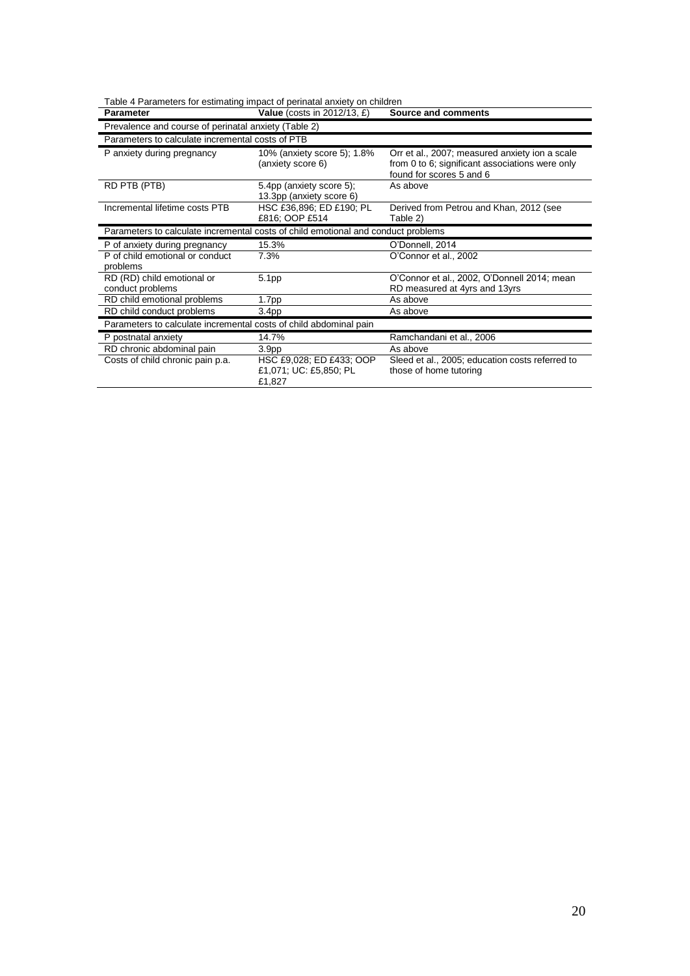| Table 4 Parameters for estimating impact of perinatal anxiety on children         |                                                              |                                                                                                                               |
|-----------------------------------------------------------------------------------|--------------------------------------------------------------|-------------------------------------------------------------------------------------------------------------------------------|
| Parameter                                                                         | <b>Value</b> (costs in $2012/13$ , $E$ )                     | Source and comments                                                                                                           |
| Prevalence and course of perinatal anxiety (Table 2)                              |                                                              |                                                                                                                               |
| Parameters to calculate incremental costs of PTB                                  |                                                              |                                                                                                                               |
| P anxiety during pregnancy                                                        | 10% (anxiety score 5); 1.8%<br>(anxiety score 6)             | Orr et al., 2007; measured anxiety ion a scale<br>from 0 to 6; significant associations were only<br>found for scores 5 and 6 |
| RD PTB (PTB)                                                                      | 5.4pp (anxiety score 5);<br>13.3pp (anxiety score 6)         | As above                                                                                                                      |
| Incremental lifetime costs PTB                                                    | HSC £36,896; ED £190; PL<br>£816; OOP £514                   | Derived from Petrou and Khan, 2012 (see<br>Table 2)                                                                           |
| Parameters to calculate incremental costs of child emotional and conduct problems |                                                              |                                                                                                                               |
| P of anxiety during pregnancy                                                     | 15.3%                                                        | O'Donnell, 2014                                                                                                               |
| P of child emotional or conduct<br>problems                                       | 7.3%                                                         | O'Connor et al., 2002                                                                                                         |
| RD (RD) child emotional or<br>conduct problems                                    | 5.1pp                                                        | O'Connor et al., 2002, O'Donnell 2014; mean<br>RD measured at 4yrs and 13yrs                                                  |
| RD child emotional problems                                                       | 1.7pp                                                        | As above                                                                                                                      |
| RD child conduct problems                                                         | 3.4 <sub>pp</sub>                                            | As above                                                                                                                      |
| Parameters to calculate incremental costs of child abdominal pain                 |                                                              |                                                                                                                               |
| P postnatal anxiety                                                               | 14.7%                                                        | Ramchandani et al., 2006                                                                                                      |
| RD chronic abdominal pain                                                         | 3.9 <sub>pp</sub>                                            | As above                                                                                                                      |
| Costs of child chronic pain p.a.                                                  | HSC £9,028; ED £433; OOP<br>£1,071; UC: £5,850; PL<br>£1,827 | Sleed et al., 2005; education costs referred to<br>those of home tutoring                                                     |